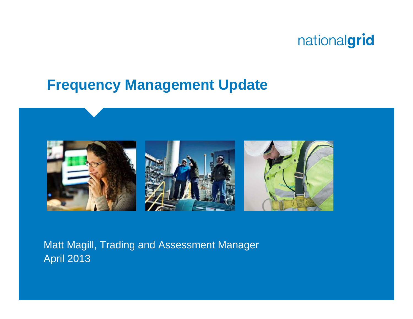#### **Frequency Management Update**



Matt Magill, Trading and Assessment Manager April 2013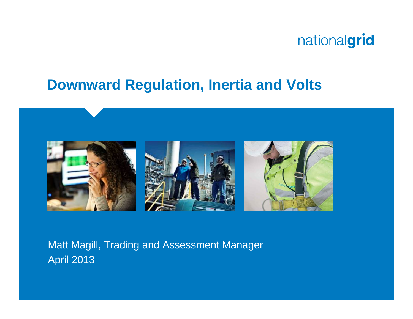#### **Downward Regulation, Inertia and Volts**



Matt Magill, Trading and Assessment Manager April 2013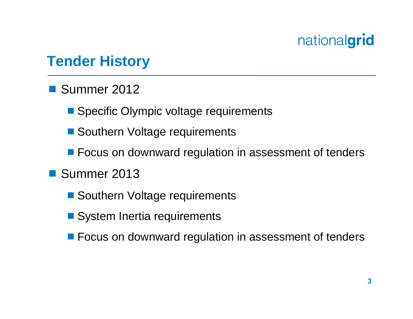#### **Tender History**

- Summer 2012
	- Specific Olympic voltage requirements
	- Southern Voltage requirements
	- Focus on downward regulation in assessment of tenders
- Summer 2013
	- Southern Voltage requirements
	- System Inertia requirements
	- **Focus on downward regulation in assessment of tenders**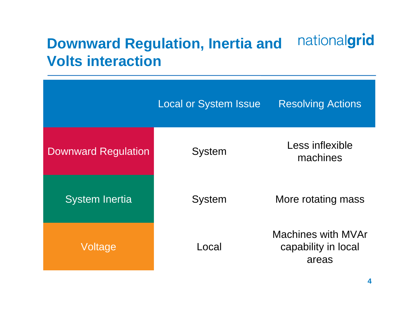#### nationalgrid **Downward Regulation, Inertia and Volts interaction**

|                            | <b>Local or System Issue</b> | <b>Resolving Actions</b>                           |
|----------------------------|------------------------------|----------------------------------------------------|
| <b>Downward Regulation</b> | <b>System</b>                | Less inflexible<br>machines                        |
| <b>System Inertia</b>      | <b>System</b>                | More rotating mass                                 |
| Voltage                    | Local                        | Machines with MVAr<br>capability in local<br>areas |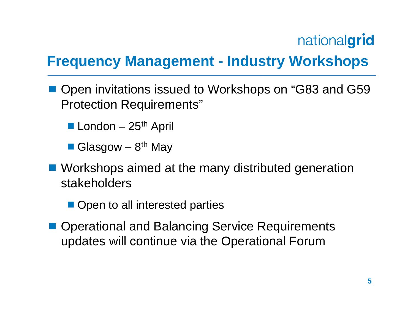## **Frequency Management - Industry Workshops**

- Open invitations issued to Workshops on "G83 and G59 Protection Requirements"
	- **London**  $25<sup>th</sup>$  April

Glasgow –  $8<sup>th</sup>$  May

- Workshops aimed at the many distributed generation stakeholders
	- Open to all interested parties
- Operational and Balancing Service Requirements updates will continue via the Operational Forum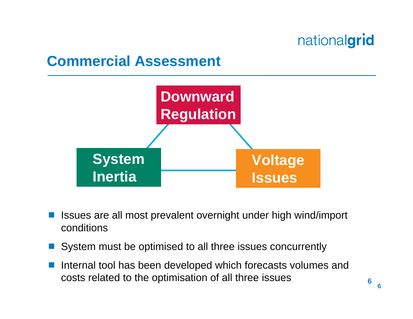#### **Commercial Assessment**



- Issues are all most prevalent overnight under high wind/import conditions
- System must be optimised to all three issues concurrently
- Internal tool has been developed which forecasts volumes and costs related to the optimisation of all three issues

**6**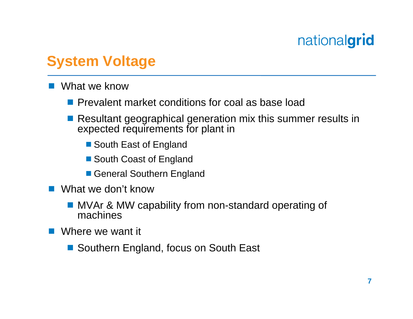### **System Voltage**

- **Service Service**  What we know
	- **Prevalent market conditions for coal as base load**
	- Resultant geographical generation mix this summer results in expected requirements for plant in
		- South East of England
		- South Coast of England
		- General Southern England
- What we don't know
	- MVAr & MW capability from non-standard operating of machines
- **Contract Contract Contract Contract Contract Contract Contract Contract Contract Contract Contract Contract Co**  Where we want it
	- Southern England, focus on South East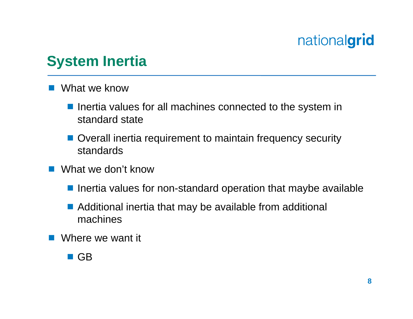### **System Inertia**

- **Service Service**  What we know
	- **If** Inertia values for all machines connected to the system in standard state
	- Overall inertia requirement to maintain frequency security standards
- **Service Service**  What we don't know
	- **Inertia values for non-standard operation that maybe available**
	- Additional inertia that may be available from additional machines
- **Service Service** Where we want it

#### $\blacksquare$  GB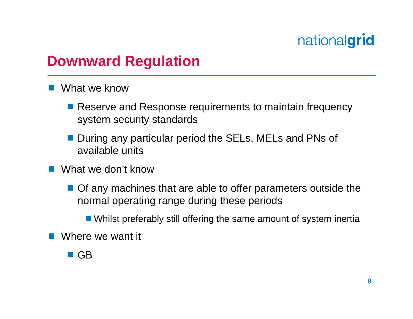#### **Downward Regulation**

- **Service Service**  What we know
	- Reserve and Response requirements to maintain frequency system security standards
	- **Service Service**  During any particular period the SELs, MELs and PNs of available units
- **Service Service**  What we don't know
	- Of any machines that are able to offer parameters outside the normal operating range during these periods
		- Whilst preferably still offering the same amount of system inertia
- Where we want it
	- $\blacksquare$  GB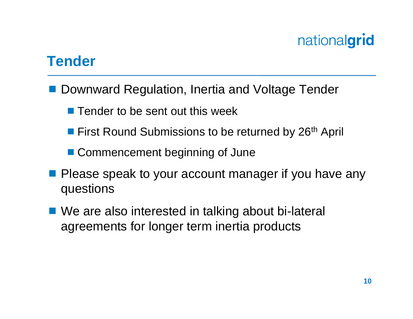#### **Tender**

- Downward Regulation, Inertia and Voltage Tender
	- **Tender to be sent out this week**
	- **First Round Submissions to be returned by 26<sup>th</sup> April**
	- Commencement beginning of June
- **Please speak to your account manager if you have any** questions
- We are also interested in talking about bi-lateral agreements for longer term inertia products